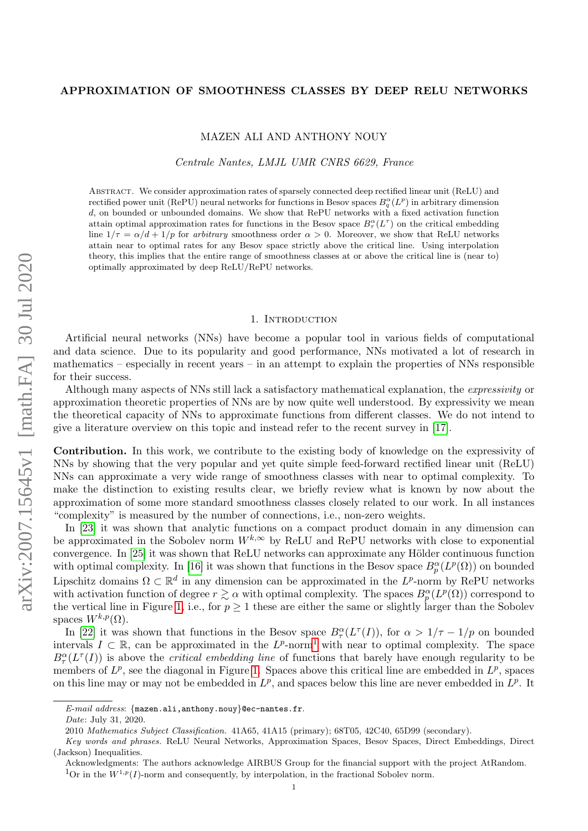## APPROXIMATION OF SMOOTHNESS CLASSES BY DEEP RELU NETWORKS

MAZEN ALI AND ANTHONY NOUY

Centrale Nantes, LMJL UMR CNRS 6629, France

Abstract. We consider approximation rates of sparsely connected deep rectified linear unit (ReLU) and rectified power unit (RePU) neural networks for functions in Besov spaces  $B_q^{\alpha}(L^p)$  in arbitrary dimension d, on bounded or unbounded domains. We show that RePU networks with a fixed activation function attain optimal approximation rates for functions in the Besov space  $B^{\alpha}_{\tau}(L^{\tau})$  on the critical embedding line  $1/\tau = \alpha/d + 1/p$  for arbitrary smoothness order  $\alpha > 0$ . Moreover, we show that ReLU networks attain near to optimal rates for any Besov space strictly above the critical line. Using interpolation theory, this implies that the entire range of smoothness classes at or above the critical line is (near to) optimally approximated by deep ReLU/RePU networks.

#### 1. INTRODUCTION

Artificial neural networks (NNs) have become a popular tool in various fields of computational and data science. Due to its popularity and good performance, NNs motivated a lot of research in mathematics – especially in recent years – in an attempt to explain the properties of NNs responsible for their success.

Although many aspects of NNs still lack a satisfactory mathematical explanation, the expressivity or approximation theoretic properties of NNs are by now quite well understood. By expressivity we mean the theoretical capacity of NNs to approximate functions from different classes. We do not intend to give a literature overview on this topic and instead refer to the recent survey in [\[17\]](#page-13-0).

Contribution. In this work, we contribute to the existing body of knowledge on the expressivity of NNs by showing that the very popular and yet quite simple feed-forward rectified linear unit (ReLU) NNs can approximate a very wide range of smoothness classes with near to optimal complexity. To make the distinction to existing results clear, we briefly review what is known by now about the approximation of some more standard smoothness classes closely related to our work. In all instances "complexity" is measured by the number of connections, i.e., non-zero weights.

In [\[23\]](#page-13-1) it was shown that analytic functions on a compact product domain in any dimension can be approximated in the Sobolev norm  $W^{k,\infty}$  by ReLU and RePU networks with close to exponential convergence. In [\[25\]](#page-13-2) it was shown that ReLU networks can approximate any Hölder continuous function with optimal complexity. In [\[16\]](#page-13-3) it was shown that functions in the Besov space  $B_p^{\alpha}(L^p(\Omega))$  on bounded Lipschitz domains  $\Omega \subset \mathbb{R}^d$  in any dimension can be approximated in the L<sup>p</sup>-norm by RePU networks with activation function of degree  $r \gtrsim \alpha$  with optimal complexity. The spaces  $B_p^{\alpha}(L^p(\Omega))$  correspond to the vertical line in Figure [1,](#page-1-0) i.e., for  $p \geq 1$  these are either the same or slightly larger than the Sobolev spaces  $W^{k,p}(\Omega)$ .

In [\[22\]](#page-13-4) it was shown that functions in the Besov space  $B^{\alpha}_{\tau}(L^{\tau}(I))$ , for  $\alpha > 1/\tau - 1/p$  on bounded intervals  $I \subset \mathbb{R}$ , can be approximated in the  $L^p$ -norm<sup>[1](#page-0-0)</sup> with near to optimal complexity. The space  $B^{\alpha}_{\tau}(L^{\tau}(I))$  is above the *critical embedding line* of functions that barely have enough regularity to be members of  $L^p$ , see the diagonal in Figure [1.](#page-1-0) Spaces above this critical line are embedded in  $L^p$ , spaces on this line may or may not be embedded in  $L^p$ , and spaces below this line are never embedded in  $L^p$ . It

E-mail address:  $\{$ mazen.ali,anthony.nouy}@ec-nantes.fr.

Date: July 31, 2020.

<sup>2010</sup> Mathematics Subject Classification. 41A65, 41A15 (primary); 68T05, 42C40, 65D99 (secondary).

Key words and phrases. ReLU Neural Networks, Approximation Spaces, Besov Spaces, Direct Embeddings, Direct (Jackson) Inequalities.

<span id="page-0-0"></span>Acknowledgments: The authors acknowledge AIRBUS Group for the financial support with the project AtRandom. <sup>1</sup>Or in the  $W^{1,p}(I)$ -norm and consequently, by interpolation, in the fractional Sobolev norm.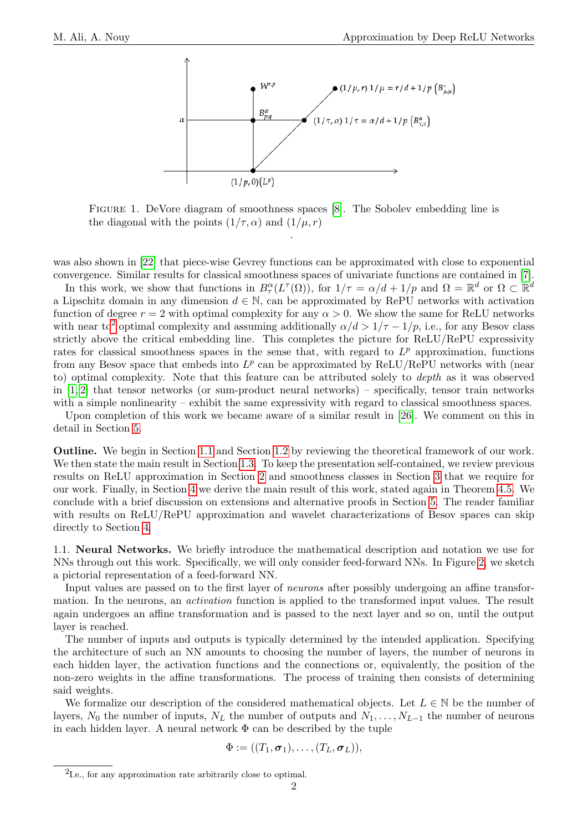<span id="page-1-0"></span>

Figure 1. DeVore diagram of smoothness spaces [\[8\]](#page-13-5). The Sobolev embedding line is the diagonal with the points  $(1/\tau, \alpha)$  and  $(1/\mu, r)$ 

.

was also shown in [\[22\]](#page-13-4) that piece-wise Gevrey functions can be approximated with close to exponential convergence. Similar results for classical smoothness spaces of univariate functions are contained in [\[7\]](#page-13-6).

In this work, we show that functions in  $B^{\alpha}_{\tau}(L^{\tau}(\Omega))$ , for  $1/\tau = \alpha/d + 1/p$  and  $\Omega = \mathbb{R}^d$  or  $\Omega \subset \mathbb{R}^d$ a Lipschitz domain in any dimension  $d \in \mathbb{N}$ , can be approximated by RePU networks with activation function of degree  $r = 2$  with optimal complexity for any  $\alpha > 0$ . We show the same for ReLU networks with near to<sup>[2](#page-1-1)</sup> optimal complexity and assuming additionally  $\alpha/d > 1/\tau - 1/p$ , i.e., for any Besov class strictly above the critical embedding line. This completes the picture for ReLU/RePU expressivity rates for classical smoothness spaces in the sense that, with regard to  $L^p$  approximation, functions from any Besov space that embeds into  $L^p$  can be approximated by ReLU/RePU networks with (near to) optimal complexity. Note that this feature can be attributed solely to depth as it was observed in  $[1, 2]$  $[1, 2]$  that tensor networks (or sum-product neural networks) – specifically, tensor train networks with a simple nonlinearity – exhibit the same expressivity with regard to classical smoothness spaces.

Upon completion of this work we became aware of a similar result in [\[26\]](#page-13-7). We comment on this in detail in Section [5.](#page-12-2)

Outline. We begin in Section [1.1](#page-1-2) and Section [1.2](#page-2-0) by reviewing the theoretical framework of our work. We then state the main result in Section [1.3.](#page-3-0) To keep the presentation self-contained, we review previous results on ReLU approximation in Section [2](#page-3-1) and smoothness classes in Section [3](#page-5-0) that we require for our work. Finally, in Section [4](#page-8-0) we derive the main result of this work, stated again in Theorem [4.5.](#page-11-0) We conclude with a brief discussion on extensions and alternative proofs in Section [5.](#page-12-2) The reader familiar with results on ReLU/RePU approximation and wavelet characterizations of Besov spaces can skip directly to Section [4.](#page-8-0)

<span id="page-1-2"></span>1.1. Neural Networks. We briefly introduce the mathematical description and notation we use for NNs through out this work. Specifically, we will only consider feed-forward NNs. In Figure [2,](#page-2-1) we sketch a pictorial representation of a feed-forward NN.

Input values are passed on to the first layer of neurons after possibly undergoing an affine transformation. In the neurons, an activation function is applied to the transformed input values. The result again undergoes an affine transformation and is passed to the next layer and so on, until the output layer is reached.

The number of inputs and outputs is typically determined by the intended application. Specifying the architecture of such an NN amounts to choosing the number of layers, the number of neurons in each hidden layer, the activation functions and the connections or, equivalently, the position of the non-zero weights in the affine transformations. The process of training then consists of determining said weights.

We formalize our description of the considered mathematical objects. Let  $L \in \mathbb{N}$  be the number of layers,  $N_0$  the number of inputs,  $N_L$  the number of outputs and  $N_1, \ldots, N_{L-1}$  the number of neurons in each hidden layer. A neural network  $\Phi$  can be described by the tuple

$$
\Phi := ((T_1, \boldsymbol{\sigma}_1), \ldots, (T_L, \boldsymbol{\sigma}_L)),
$$

<span id="page-1-1"></span><sup>2</sup> I.e., for any approximation rate arbitrarily close to optimal.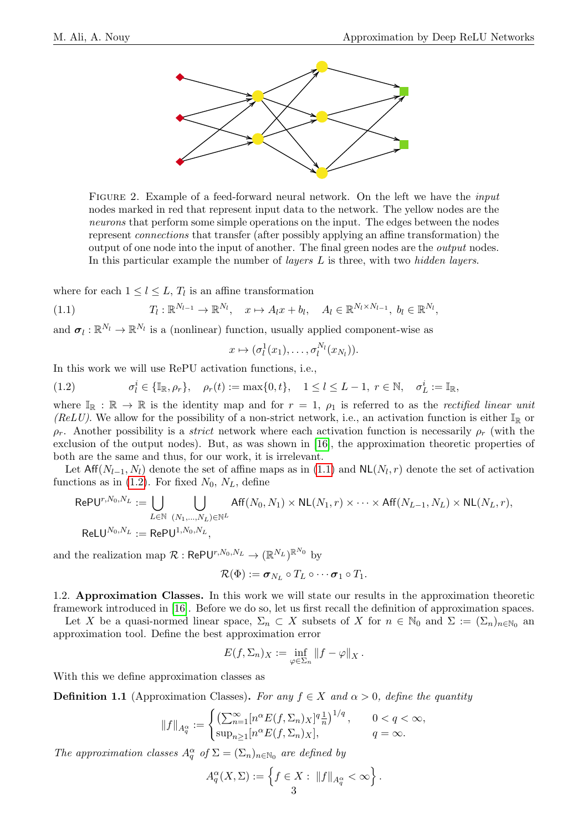<span id="page-2-1"></span>

FIGURE 2. Example of a feed-forward neural network. On the left we have the *input* nodes marked in red that represent input data to the network. The yellow nodes are the neurons that perform some simple operations on the input. The edges between the nodes represent connections that transfer (after possibly applying an affine transformation) the output of one node into the input of another. The final green nodes are the output nodes. In this particular example the number of layers L is three, with two hidden layers.

where for each  $1 \leq l \leq L$ ,  $T_l$  is an affine transformation

<span id="page-2-2"></span>(1.1) 
$$
T_l: \mathbb{R}^{N_{l-1}} \to \mathbb{R}^{N_l}, \quad x \mapsto A_l x + b_l, \quad A_l \in \mathbb{R}^{N_l \times N_{l-1}}, \quad b_l \in \mathbb{R}^{N_l}
$$

and  $\sigma_l : \mathbb{R}^{N_l} \to \mathbb{R}^{N_l}$  is a (nonlinear) function, usually applied component-wise as

$$
x\mapsto (\sigma_l^1(x_1),\ldots,\sigma_l^{N_l}(x_{N_l})).
$$

In this work we will use RePU activation functions, i.e.,

<span id="page-2-3"></span>(1.2) 
$$
\sigma_l^i \in {\mathbb{I}_{\mathbb{R}, \rho_r}}, \quad \rho_r(t) := \max\{0, t\}, \quad 1 \le l \le L - 1, \ r \in \mathbb{N}, \quad \sigma_L^i := \mathbb{I}_{\mathbb{R}},
$$

where  $\mathbb{I}_{\mathbb{R}} : \mathbb{R} \to \mathbb{R}$  is the identity map and for  $r = 1$ ,  $\rho_1$  is referred to as the *rectified linear unit* (ReLU). We allow for the possibility of a non-strict network, i.e., an activation function is either  $\mathbb{I}_{\mathbb{R}}$  or  $\rho_r$ . Another possibility is a *strict* network where each activation function is necessarily  $\rho_r$  (with the exclusion of the output nodes). But, as was shown in [\[16\]](#page-13-3), the approximation theoretic properties of both are the same and thus, for our work, it is irrelevant.

Let  $Aff(N_{l-1}, N_l)$  denote the set of affine maps as in  $(1.1)$  and  $NL(N_l, r)$  denote the set of activation functions as in [\(1.2\)](#page-2-3). For fixed  $N_0$ ,  $N_L$ , define

$$
RePU^{r,N_0,N_L} := \bigcup_{L \in \mathbb{N}} \bigcup_{(N_1,\ldots,N_L) \in \mathbb{N}^L} Aff(N_0,N_1) \times NL(N_1,r) \times \cdots \times Aff(N_{L-1},N_L) \times NL(N_L,r),
$$
  
\n
$$
ReLU^{N_0,N_L} := RePU^{1,N_0,N_L},
$$

and the realization map  $\mathcal{R}: \mathsf{RePU}^{r,N_0,N_L} \to (\mathbb{R}^{N_L})^{\mathbb{R}^{N_0}}$  by

$$
\mathcal{R}(\Phi) := \boldsymbol{\sigma}_{N_L} \circ T_L \circ \cdots \boldsymbol{\sigma}_1 \circ T_1.
$$

<span id="page-2-0"></span>1.2. Approximation Classes. In this work we will state our results in the approximation theoretic framework introduced in [\[16\]](#page-13-3). Before we do so, let us first recall the definition of approximation spaces.

Let X be a quasi-normed linear space,  $\Sigma_n \subset X$  subsets of X for  $n \in \mathbb{N}_0$  and  $\Sigma := (\Sigma_n)_{n \in \mathbb{N}_0}$  and approximation tool. Define the best approximation error

$$
E(f,\Sigma_n)_X := \inf_{\varphi \in \Sigma_n} \|f - \varphi\|_X.
$$

With this we define approximation classes as

**Definition 1.1** (Approximation Classes). For any  $f \in X$  and  $\alpha > 0$ , define the quantity

$$
||f||_{A_q^{\alpha}} := \begin{cases} \left(\sum_{n=1}^{\infty} [n^{\alpha} E(f, \Sigma_n)_X]^q \frac{1}{n}\right)^{1/q}, & 0 < q < \infty, \\ \sup_{n \ge 1} [n^{\alpha} E(f, \Sigma_n)_X], & q = \infty. \end{cases}
$$

The approximation classes  $A_q^{\alpha}$  of  $\Sigma = (\Sigma_n)_{n \in \mathbb{N}_0}$  are defined by

$$
A_q^{\alpha}(X,\Sigma) := \left\{ f \in X : ||f||_{A_q^{\alpha}} < \infty \right\}.
$$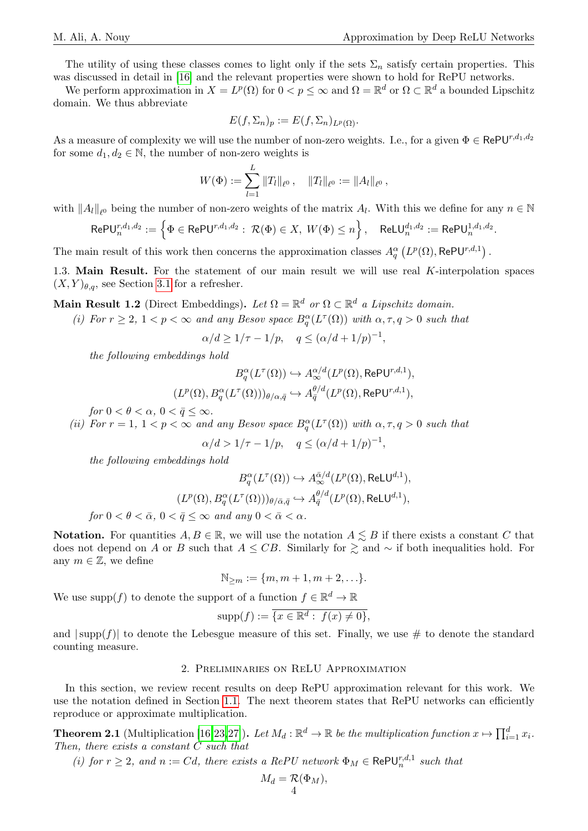The utility of using these classes comes to light only if the sets  $\Sigma_n$  satisfy certain properties. This was discussed in detail in [\[16\]](#page-13-3) and the relevant properties were shown to hold for RePU networks.

We perform approximation in  $X = L^p(\Omega)$  for  $0 < p \leq \infty$  and  $\Omega = \mathbb{R}^d$  or  $\Omega \subset \mathbb{R}^d$  a bounded Lipschitz domain. We thus abbreviate

$$
E(f,\Sigma_n)_p := E(f,\Sigma_n)_{L^p(\Omega)}.
$$

As a measure of complexity we will use the number of non-zero weights. I.e., for a given  $\Phi \in \text{RePU}^{r,d_1,d_2}$ for some  $d_1, d_2 \in \mathbb{N}$ , the number of non-zero weights is

$$
W(\Phi) := \sum_{l=1}^L \|T_l\|_{\ell^0}, \quad \|T_l\|_{\ell^0} := \|A_l\|_{\ell^0},
$$

with  $||A_l||_{\ell^0}$  being the number of non-zero weights of the matrix  $A_l$ . With this we define for any  $n \in \mathbb{N}$ 

$$
\mathsf{RePU}_{n}^{r,d_{1},d_{2}} := \left\{ \Phi \in \mathsf{RePU}^{r,d_{1},d_{2}} : \ \mathcal{R}(\Phi) \in X, \ W(\Phi) \leq n \right\}, \quad \mathsf{ReLU}_{n}^{d_{1},d_{2}} := \mathsf{RePU}_{n}^{1,d_{1},d_{2}}.
$$

The main result of this work then concerns the approximation classes  $A_q^{\alpha} (L^p(\Omega), \text{RePU}^{r,d,1})$ .

<span id="page-3-0"></span>1.3. Main Result. For the statement of our main result we will use real K-interpolation spaces  $(X, Y)_{\theta,q}$ , see Section [3.1](#page-5-1) for a refresher.

Main Result 1.2 (Direct Embeddings). Let  $\Omega = \mathbb{R}^d$  or  $\Omega \subset \mathbb{R}^d$  a Lipschitz domain.

(i) For  $r \geq 2$ ,  $1 < p < \infty$  and any Besov space  $B_q^{\alpha}(L^{\tau}(\Omega))$  with  $\alpha, \tau, q > 0$  such that

$$
\alpha/d \ge 1/\tau - 1/p, \quad q \le (\alpha/d + 1/p)^{-1},
$$

the following embeddings hold

$$
B_q^{\alpha}(L^{\tau}(\Omega)) \hookrightarrow A_{\infty}^{\alpha/d}(L^p(\Omega), \text{RePU}^{r,d,1}),
$$
  

$$
(L^p(\Omega), B_q^{\alpha}(L^{\tau}(\Omega)))_{\theta/\alpha, \bar{q}} \hookrightarrow A_{\bar{q}}^{\theta/d}(L^p(\Omega), \text{RePU}^{r,d,1}),
$$

for  $0 < \theta < \alpha$ ,  $0 < \bar{q} \leq \infty$ .

(ii) For  $r = 1, 1 < p < \infty$  and any Besov space  $B_q^{\alpha}(L^{\tau}(\Omega))$  with  $\alpha, \tau, q > 0$  such that

 $\alpha/d > 1/\tau - 1/p, \quad q \leq (\alpha/d + 1/p)^{-1},$ 

the following embeddings hold

$$
B_q^{\alpha}(L^{\tau}(\Omega)) \hookrightarrow A_{\infty}^{\bar{\alpha}/d}(L^p(\Omega), \text{ReLU}^{d,1}),
$$
  

$$
(L^p(\Omega), B_q^{\alpha}(L^{\tau}(\Omega)))_{\theta/\bar{\alpha}, \bar{q}} \hookrightarrow A_{\bar{q}}^{\theta/d}(L^p(\Omega), \text{ReLU}^{d,1}),
$$
  

$$
\leq \theta \leq \bar{z} \leq 0 \leq \bar{z} \leq 0 \text{ and } \text{cov}(\theta) \leq \bar{z} \leq \epsilon.
$$

for  $0 < \theta < \bar{\alpha}$ ,  $0 < \bar{q} \le \infty$  and any  $0 < \bar{\alpha} < \alpha$ .

Notation. For quantities  $A, B \in \mathbb{R}$ , we will use the notation  $A \leq B$  if there exists a constant C that does not depend on A or B such that  $A \leq CB$ . Similarly for  $\geq$  and  $\sim$  if both inequalities hold. For any  $m \in \mathbb{Z}$ , we define

$$
\mathbb{N}_{\geq m} := \{m, m+1, m+2, \ldots\}.
$$

We use supp(f) to denote the support of a function  $f \in \mathbb{R}^d \to \mathbb{R}$ 

$$
supp(f) := \overline{\{x \in \mathbb{R}^d : f(x) \neq 0\}},
$$

and  $|\text{supp}(f)|$  to denote the Lebesgue measure of this set. Finally, we use # to denote the standard counting measure.

## 2. Preliminaries on ReLU Approximation

<span id="page-3-1"></span>In this section, we review recent results on deep RePU approximation relevant for this work. We use the notation defined in Section [1.1.](#page-1-2) The next theorem states that RePU networks can efficiently reproduce or approximate multiplication.

<span id="page-3-2"></span>**Theorem 2.1** (Multiplication [\[16,](#page-13-3)[23,](#page-13-1)[27\]](#page-13-8)). Let  $M_d : \mathbb{R}^d \to \mathbb{R}$  be the multiplication function  $x \mapsto \prod_{i=1}^d x_i$ . Then, there exists a constant C such that

(i) for  $r \geq 2$ , and  $n := Cd$ , there exists a RePU network  $\Phi_M \in \text{RePU}_n^{r,d,1}$  such that

$$
M_d = \mathcal{R}(\Phi_M),
$$
4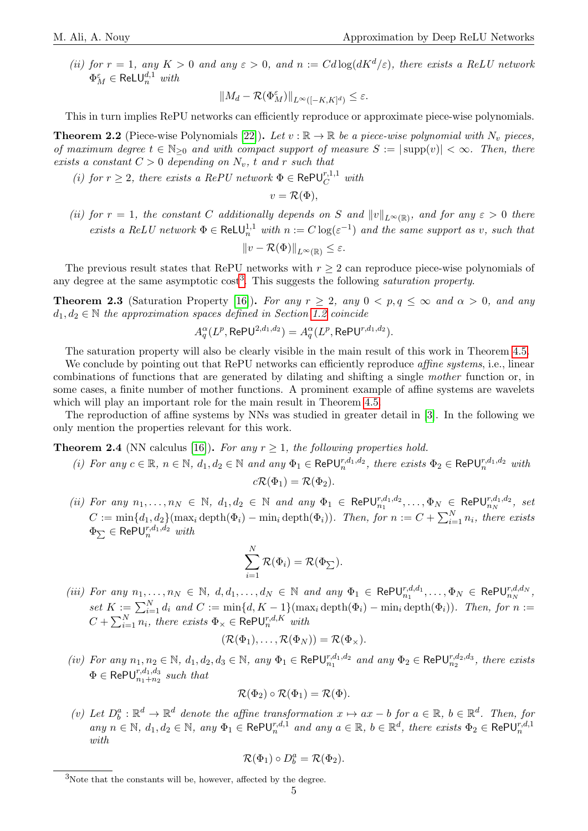(ii) for  $r = 1$ , any  $K > 0$  and any  $\varepsilon > 0$ , and  $n := Cd \log(dK^d/\varepsilon)$ , there exists a ReLU network  $\Phi_M^{\varepsilon} \in \mathsf{ReLU}_n^{d,1}$  with

$$
||M_d - \mathcal{R}(\Phi_M^{\varepsilon})||_{L^{\infty}([-K,K]^d)} \le \varepsilon.
$$

This in turn implies RePU networks can efficiently reproduce or approximate piece-wise polynomials.

<span id="page-4-1"></span>**Theorem 2.2** (Piece-wise Polynomials [\[22\]](#page-13-4)). Let  $v : \mathbb{R} \to \mathbb{R}$  be a piece-wise polynomial with  $N_v$  pieces, of maximum degree  $t \in \mathbb{N}_{\geq 0}$  and with compact support of measure  $S := |\text{supp}(v)| < \infty$ . Then, there exists a constant  $C > 0$  depending on  $N_v$ , t and r such that

(i) for  $r \geq 2$ , there exists a RePU network  $\Phi \in \text{RePU}_{C}^{r,1,1}$  with

$$
v = \mathcal{R}(\Phi),
$$

(ii) for  $r = 1$ , the constant C additionally depends on S and  $||v||_{L^{\infty}(\mathbb{R})}$ , and for any  $\varepsilon > 0$  there exists a ReLU network  $\Phi \in \text{ReLU}_n^{1,1}$  with  $n := C \log(\varepsilon^{-1})$  and the same support as v, such that

$$
||v - \mathcal{R}(\Phi)||_{L^{\infty}(\mathbb{R})} \le \varepsilon.
$$

The previous result states that RePU networks with  $r \geq 2$  can reproduce piece-wise polynomials of any degree at the same asymptotic  $\cos t^3$  $\cos t^3$ . This suggests the following *saturation property*.

**Theorem 2.3** (Saturation Property [\[16\]](#page-13-3)). For any  $r \geq 2$ , any  $0 \lt p, q \leq \infty$  and  $\alpha > 0$ , and any  $d_1, d_2 \in \mathbb{N}$  the approximation spaces defined in Section [1.2](#page-2-0) coincide

$$
A_q^{\alpha}(L^p, \text{RePU}^{2,d_1,d_2}) = A_q^{\alpha}(L^p, \text{RePU}^{r,d_1,d_2}).
$$

The saturation property will also be clearly visible in the main result of this work in Theorem [4.5.](#page-11-0)

We conclude by pointing out that RePU networks can efficiently reproduce *affine systems*, i.e., linear combinations of functions that are generated by dilating and shifting a single mother function or, in some cases, a finite number of mother functions. A prominent example of affine systems are wavelets which will play an important role for the main result in Theorem [4.5.](#page-11-0)

The reproduction of affine systems by NNs was studied in greater detail in [\[3\]](#page-12-3). In the following we only mention the properties relevant for this work.

# <span id="page-4-2"></span>**Theorem 2.4** (NN calculus [\[16\]](#page-13-3)). For any  $r \geq 1$ , the following properties hold.

(i) For any  $c \in \mathbb{R}$ ,  $n \in \mathbb{N}$ ,  $d_1, d_2 \in \mathbb{N}$  and any  $\Phi_1 \in \text{RePU}_n^{r,d_1,d_2}$ , there exists  $\Phi_2 \in \text{RePU}_n^{r,d_1,d_2}$  with

$$
c\mathcal{R}(\Phi_1)=\mathcal{R}(\Phi_2).
$$

(ii) For any  $n_1,\ldots,n_N \in \mathbb{N}$ ,  $d_1,d_2 \in \mathbb{N}$  and any  $\Phi_1 \in \text{RePU}_{n_1}^{r,d_1,d_2},\ldots,\Phi_N \in \text{RePU}_{n_N}^{r,d_1,d_2}$ , set  $n_1$ ,  $\ldots$ ,  $\Psi N \in \mathsf{N}$ er U $n_N$  $C := \min\{d_1, d_2\}(\max_i \text{depth}(\Phi_i) - \min_i \text{depth}(\Phi_i)).$  Then, for  $n := C + \sum_{i=1}^N n_i$ , there exists  $\Phi_{\sum} \in \mathsf{RePU}_{n}^{r, d_1, d_2}$   $with$ 

$$
\sum_{i=1}^N \mathcal{R}(\Phi_i) = \mathcal{R}(\Phi_{\sum}).
$$

(iii) For any  $n_1, \ldots, n_N \in \mathbb{N}$ ,  $d, d_1, \ldots, d_N \in \mathbb{N}$  and any  $\Phi_1 \in \text{RePU}_{n_1}^{r,d,d_1}, \ldots, \Phi_N \in \text{RePU}_{n_N}^{r,d,d_N}$ , set  $K := \sum_{i=1}^{N} d_i$  and  $C := \min\{d, K - 1\}(\max_i \operatorname{depth}(\Phi_i) - \min_i \operatorname{depth}(\Phi_i)).$  Then, for  $n :=$  $C+\sum_{i=1}^N n_i,$  there exists  $\Phi_\times\in\mathsf{RePU}_n^{r,d,K}$  with

$$
(\mathcal{R}(\Phi_1),\ldots,\mathcal{R}(\Phi_N))=\mathcal{R}(\Phi_\times).
$$

(iv) For any  $n_1, n_2 \in \mathbb{N}$ ,  $d_1, d_2, d_3 \in \mathbb{N}$ , any  $\Phi_1 \in \text{RePU}_{n_1}^{r,d_1,d_2}$  and any  $\Phi_2 \in \text{RePU}_{n_2}^{r,d_2,d_3}$ , there exists  $\Phi \in \mathsf{RePU}_{n_1+n_2}^{r,d_1,d_3}$  such that

$$
\mathcal{R}(\Phi_2) \circ \mathcal{R}(\Phi_1) = \mathcal{R}(\Phi).
$$

(v) Let  $D_b^a : \mathbb{R}^d \to \mathbb{R}^d$  denote the affine transformation  $x \mapsto ax - b$  for  $a \in \mathbb{R}$ ,  $b \in \mathbb{R}^d$ . Then, for any  $n \in \mathbb{N}$ ,  $d_1, d_2 \in \mathbb{N}$ , any  $\Phi_1 \in \text{RePU}_n^{r,d,1}$  and any  $a \in \mathbb{R}$ ,  $b \in \mathbb{R}^d$ , there exists  $\Phi_2 \in \text{RePU}_n^{r,d,1}$ with

$$
\mathcal{R}(\Phi_1) \circ D_b^a = \mathcal{R}(\Phi_2).
$$

<span id="page-4-0"></span> $3$ Note that the constants will be, however, affected by the degree.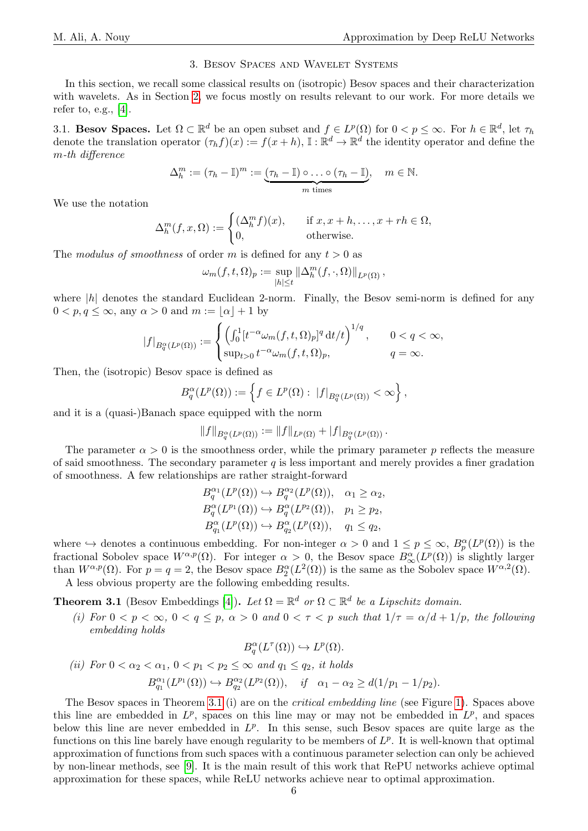## 3. Besov Spaces and Wavelet Systems

<span id="page-5-0"></span>In this section, we recall some classical results on (isotropic) Besov spaces and their characterization with wavelets. As in Section [2,](#page-3-1) we focus mostly on results relevant to our work. For more details we refer to, e.g., [\[4\]](#page-12-4).

<span id="page-5-1"></span>3.1. Besov Spaces. Let  $\Omega \subset \mathbb{R}^d$  be an open subset and  $f \in L^p(\Omega)$  for  $0 < p \leq \infty$ . For  $h \in \mathbb{R}^d$ , let  $\tau_h$ denote the translation operator  $(\tau_h f)(x) := f(x+h)$ ,  $\mathbb{I}: \mathbb{R}^d \to \mathbb{R}^d$  the identity operator and define the m-th difference

$$
\Delta_h^m := (\tau_h - \mathbb{I})^m := \underbrace{(\tau_h - \mathbb{I}) \circ \dots \circ (\tau_h - \mathbb{I})}_{m \text{ times}}, \quad m \in \mathbb{N}.
$$

We use the notation

$$
\Delta_h^m(f, x, \Omega) := \begin{cases}\n(\Delta_h^m f)(x), & \text{if } x, x + h, \dots, x + rh \in \Omega, \\
0, & \text{otherwise.}\n\end{cases}
$$

The modulus of smoothness of order m is defined for any  $t > 0$  as

$$
\omega_m(f, t, \Omega)_p := \sup_{|h| \le t} ||\Delta_h^m(f, \cdot, \Omega)||_{L^p(\Omega)},
$$

where  $|h|$  denotes the standard Euclidean 2-norm. Finally, the Besov semi-norm is defined for any  $0 < p, q \leq \infty$ , any  $\alpha > 0$  and  $m := \lfloor \alpha \rfloor + 1$  by

$$
|f|_{B_q^{\alpha}(L^p(\Omega))} := \begin{cases} \left(\int_0^1 [t^{-\alpha} \omega_m(f, t, \Omega)_p]^q dt/t\right)^{1/q}, & 0 < q < \infty, \\ \sup_{t>0} t^{-\alpha} \omega_m(f, t, \Omega)_p, & q = \infty. \end{cases}
$$

Then, the (isotropic) Besov space is defined as

$$
B_q^{\alpha}(L^p(\Omega)) := \left\{ f \in L^p(\Omega) : ||f||_{B_q^{\alpha}(L^p(\Omega))} < \infty \right\},\,
$$

and it is a (quasi-)Banach space equipped with the norm

$$
||f||_{B^{\alpha}_{q}(L^{p}(\Omega))} := ||f||_{L^{p}(\Omega)} + |f|_{B^{\alpha}_{q}(L^{p}(\Omega))}.
$$

The parameter  $\alpha > 0$  is the smoothness order, while the primary parameter p reflects the measure of said smoothness. The secondary parameter  $q$  is less important and merely provides a finer gradation of smoothness. A few relationships are rather straight-forward

$$
B_q^{\alpha_1}(L^p(\Omega)) \hookrightarrow B_q^{\alpha_2}(L^p(\Omega)), \quad \alpha_1 \ge \alpha_2,
$$
  
\n
$$
B_q^{\alpha}(L^{p_1}(\Omega)) \hookrightarrow B_q^{\alpha}(L^{p_2}(\Omega)), \quad p_1 \ge p_2,
$$
  
\n
$$
B_{q_1}^{\alpha}(L^p(\Omega)) \hookrightarrow B_{q_2}^{\alpha}(L^p(\Omega)), \quad q_1 \le q_2,
$$

where  $\hookrightarrow$  denotes a continuous embedding. For non-integer  $\alpha > 0$  and  $1 \leq p \leq \infty$ ,  $B_p^{\alpha}(L^p(\Omega))$  is the fractional Sobolev space  $W^{\alpha,p}(\Omega)$ . For integer  $\alpha > 0$ , the Besov space  $B^{\alpha}_{\infty}(L^p(\Omega))$  is slightly larger than  $W^{\alpha,p}(\Omega)$ . For  $p = q = 2$ , the Besov space  $B_2^{\alpha}(L^2(\Omega))$  is the same as the Sobolev space  $W^{\alpha,2}(\Omega)$ .

A less obvious property are the following embedding results.

<span id="page-5-2"></span>**Theorem 3.1** (Besov Embeddings [\[4\]](#page-12-4)). Let  $\Omega = \mathbb{R}^d$  or  $\Omega \subset \mathbb{R}^d$  be a Lipschitz domain.

(i) For  $0 < p < \infty$ ,  $0 < q \le p$ ,  $\alpha > 0$  and  $0 < \tau < p$  such that  $1/\tau = \alpha/d + 1/p$ , the following embedding holds

$$
B_q^{\alpha}(L^{\tau}(\Omega)) \hookrightarrow L^p(\Omega).
$$

(*ii*) For 
$$
0 < \alpha_2 < \alpha_1
$$
,  $0 < p_1 < p_2 \le \infty$  and  $q_1 \le q_2$ , it holds  
\n
$$
B_{q_1}^{\alpha_1}(L^{p_1}(\Omega)) \hookrightarrow B_{q_2}^{\alpha_2}(L^{p_2}(\Omega)), \quad \text{if} \quad \alpha_1 - \alpha_2 \ge d(1/p_1 - 1/p_2).
$$

The Besov spaces in Theorem [3.1](#page-5-2) (i) are on the critical embedding line (see Figure [1\)](#page-1-0). Spaces above this line are embedded in  $L^p$ , spaces on this line may or may not be embedded in  $L^p$ , and spaces below this line are never embedded in  $L^p$ . In this sense, such Besov spaces are quite large as the functions on this line barely have enough regularity to be members of  $L^p$ . It is well-known that optimal approximation of functions from such spaces with a continuous parameter selection can only be achieved by non-linear methods, see [\[9\]](#page-13-9). It is the main result of this work that RePU networks achieve optimal approximation for these spaces, while ReLU networks achieve near to optimal approximation.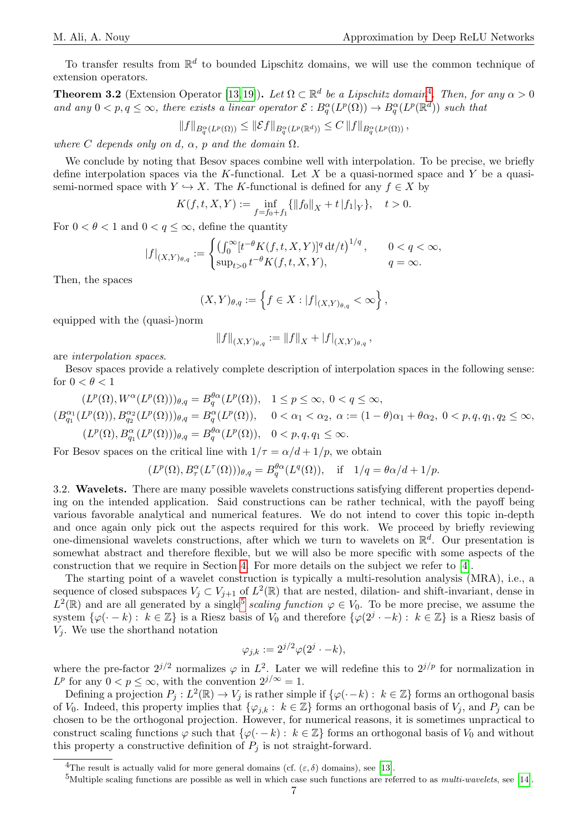To transfer results from  $\mathbb{R}^d$  to bounded Lipschitz domains, we will use the common technique of extension operators.

<span id="page-6-2"></span>**Theorem 3.2** (Extension Operator [\[13,](#page-13-10)[19\]](#page-13-11)). Let  $\Omega \subset \mathbb{R}^d$  be a Lipschitz domain<sup>[4](#page-6-0)</sup>. Then, for any  $\alpha > 0$ and any  $0 < p, q \leq \infty$ , there exists a linear operator  $\mathcal{E}: B^{\alpha}_{q}(L^{p}(\Omega)) \to B^{\alpha}_{q}(L^{p}(\mathbb{R}^{d}))$  such that

$$
||f||_{B^{\alpha}_{q}(L^{p}(\Omega))} \leq ||\mathcal{E}f||_{B^{\alpha}_{q}(L^{p}(\mathbb{R}^{d}))} \leq C ||f||_{B^{\alpha}_{q}(L^{p}(\Omega))},
$$

where C depends only on d,  $\alpha$ , p and the domain  $\Omega$ .

We conclude by noting that Besov spaces combine well with interpolation. To be precise, we briefly define interpolation spaces via the K-functional. Let X be a quasi-normed space and Y be a quasisemi-normed space with  $Y \hookrightarrow X$ . The K-functional is defined for any  $f \in X$  by

$$
K(f,t,X,Y):=\inf_{f=f_0+f_1}\{\|f_0\|_X+t\,|f_1|_Y\},\quad t>0.
$$

For  $0 < \theta < 1$  and  $0 < q \leq \infty$ , define the quantity

$$
|f|_{(X,Y)_{\theta,q}} := \begin{cases} \left(\int_0^\infty [t^{-\theta} K(f,t,X,Y)]^q \, \mathrm{d}t/t\right)^{1/q}, & 0 < q < \infty, \\ \sup_{t > 0} t^{-\theta} K(f,t,X,Y), & q = \infty. \end{cases}
$$

Then, the spaces

$$
(X,Y)_{\theta,q} := \left\{ f \in X : |f|_{(X,Y)_{\theta,q}} < \infty \right\},\,
$$

equipped with the (quasi-)norm

$$
||f||_{(X,Y)_{\theta,q}} := ||f||_X + |f|_{(X,Y)_{\theta,q}},
$$

are interpolation spaces.

Besov spaces provide a relatively complete description of interpolation spaces in the following sense: for  $0 < \theta < 1$ 

$$
(L^p(\Omega), W^{\alpha}(L^p(\Omega)))_{\theta,q} = B_q^{\theta\alpha}(L^p(\Omega)), \quad 1 \le p \le \infty, \quad 0 < q \le \infty,
$$
\n
$$
(B_{q_1}^{\alpha_1}(L^p(\Omega)), B_{q_2}^{\alpha_2}(L^p(\Omega)))_{\theta,q} = B_q^{\alpha}(L^p(\Omega)), \quad 0 < \alpha_1 < \alpha_2, \quad \alpha := (1 - \theta)\alpha_1 + \theta\alpha_2, \quad 0 < p, q, q_1, q_2 \le \infty,
$$
\n
$$
(L^p(\Omega), B_{q_1}^{\alpha}(L^p(\Omega)))_{\theta,q} = B_q^{\theta\alpha}(L^p(\Omega)), \quad 0 < p, q, q_1 \le \infty.
$$

For Besov spaces on the critical line with  $1/\tau = \alpha/d + 1/p$ , we obtain

$$
(L^p(\Omega), B^{\alpha}_{\tau}(L^{\tau}(\Omega)))_{\theta,q} = B^{\theta\alpha}_{q}(L^q(\Omega)), \quad \text{if} \quad 1/q = \theta\alpha/d + 1/p.
$$

3.2. Wavelets. There are many possible wavelets constructions satisfying different properties depending on the intended application. Said constructions can be rather technical, with the payoff being various favorable analytical and numerical features. We do not intend to cover this topic in-depth and once again only pick out the aspects required for this work. We proceed by briefly reviewing one-dimensional wavelets constructions, after which we turn to wavelets on  $\mathbb{R}^d$ . Our presentation is somewhat abstract and therefore flexible, but we will also be more specific with some aspects of the construction that we require in Section [4.](#page-8-0) For more details on the subject we refer to [\[4\]](#page-12-4).

The starting point of a wavelet construction is typically a multi-resolution analysis (MRA), i.e., a sequence of closed subspaces  $V_j \subset V_{j+1}$  of  $L^2(\mathbb{R})$  that are nested, dilation- and shift-invariant, dense in  $L^2(\mathbb{R})$  and are all generated by a single<sup>[5](#page-6-1)</sup> scaling function  $\varphi \in V_0$ . To be more precise, we assume the system  $\{\varphi(\cdot - k) : k \in \mathbb{Z}\}\$ is a Riesz basis of  $V_0$  and therefore  $\{\varphi(2^j \cdot - k) : k \in \mathbb{Z}\}\$ is a Riesz basis of  $V_i$ . We use the shorthand notation

$$
\varphi_{j,k} := 2^{j/2} \varphi(2^j \cdot -k),
$$

where the pre-factor  $2^{j/2}$  normalizes  $\varphi$  in  $L^2$ . Later we will redefine this to  $2^{j/p}$  for normalization in  $L^p$  for any  $0 < p \leq \infty$ , with the convention  $2^{j/\infty} = 1$ .

Defining a projection  $P_j: L^2(\mathbb{R}) \to V_j$  is rather simple if  $\{\varphi(\cdot - k) : k \in \mathbb{Z}\}\)$  forms an orthogonal basis of  $V_0$ . Indeed, this property implies that  $\{\varphi_{i,k}: k \in \mathbb{Z}\}\)$  forms an orthogonal basis of  $V_i$ , and  $P_i$  can be chosen to be the orthogonal projection. However, for numerical reasons, it is sometimes unpractical to construct scaling functions  $\varphi$  such that  $\{\varphi(\cdot - k) : k \in \mathbb{Z}\}\)$  forms an orthogonal basis of  $V_0$  and without this property a constructive definition of  $P_i$  is not straight-forward.

<span id="page-6-0"></span><sup>&</sup>lt;sup>4</sup>The result is actually valid for more general domains (cf.  $(\varepsilon, \delta)$  domains), see [\[13\]](#page-13-10).

<span id="page-6-1"></span> $5$ Multiple scaling functions are possible as well in which case such functions are referred to as *multi-wavelets*, see [\[14\]](#page-13-12).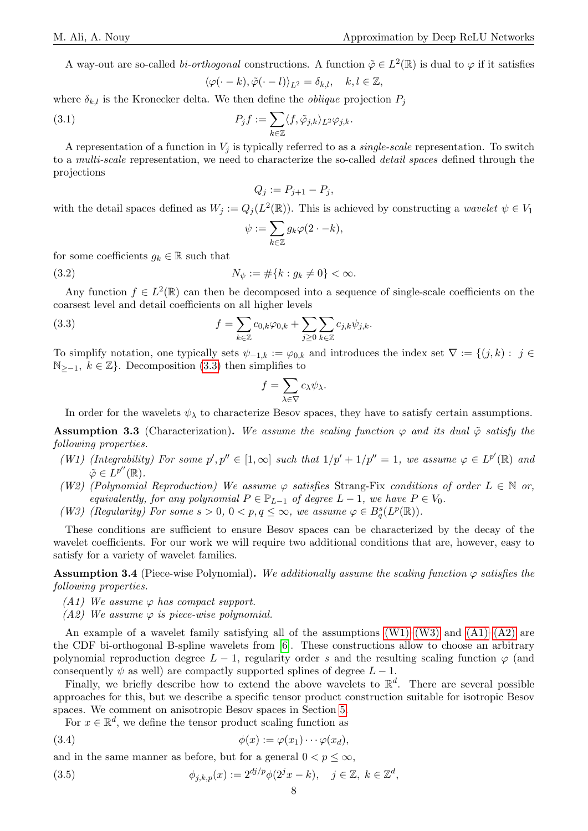A way-out are so-called *bi-orthogonal* constructions. A function  $\tilde{\varphi} \in L^2(\mathbb{R})$  is dual to  $\varphi$  if it satisfies

$$
\langle \varphi(\cdot -k), \tilde{\varphi}(\cdot -l) \rangle_{L^2} = \delta_{k,l}, \quad k, l \in \mathbb{Z},
$$

where  $\delta_{k,l}$  is the Kronecker delta. We then define the *oblique* projection  $P_j$ 

<span id="page-7-7"></span>(3.1) 
$$
P_j f := \sum_{k \in \mathbb{Z}} \langle f, \tilde{\varphi}_{j,k} \rangle_{L^2} \varphi_{j,k}.
$$

A representation of a function in  $V_i$  is typically referred to as a *single-scale* representation. To switch to a multi-scale representation, we need to characterize the so-called detail spaces defined through the projections

$$
Q_j := P_{j+1} - P_j,
$$

with the detail spaces defined as  $W_j := Q_j(L^2(\mathbb{R}))$ . This is achieved by constructing a *wavelet*  $\psi \in V_1$ 

$$
\psi:=\sum_{k\in\mathbb{Z}}g_k\varphi(2\cdot-k),
$$

for some coefficients  $g_k \in \mathbb{R}$  such that

<span id="page-7-8"></span>(3.2) 
$$
N_{\psi} := \#\{k : g_k \neq 0\} < \infty.
$$

Any function  $f \in L^2(\mathbb{R})$  can then be decomposed into a sequence of single-scale coefficients on the coarsest level and detail coefficients on all higher levels

<span id="page-7-0"></span>(3.3) 
$$
f = \sum_{k \in \mathbb{Z}} c_{0,k} \varphi_{0,k} + \sum_{j \geq 0} \sum_{k \in \mathbb{Z}} c_{j,k} \psi_{j,k}.
$$

To simplify notation, one typically sets  $\psi_{-1,k} := \varphi_{0,k}$  and introduces the index set  $\nabla := \{(j,k) : j \in$  $\mathbb{N}_{>−1}, k \in \mathbb{Z}$ . Decomposition [\(3.3\)](#page-7-0) then simplifies to

$$
f = \sum_{\lambda \in \nabla} c_{\lambda} \psi_{\lambda}.
$$

In order for the wavelets  $\psi_{\lambda}$  to characterize Besov spaces, they have to satisfy certain assumptions.

**Assumption 3.3** (Characterization). We assume the scaling function  $\varphi$  and its dual  $\tilde{\varphi}$  satisfy the following properties.

- <span id="page-7-1"></span>(W1) (Integrability) For some  $p', p'' \in [1, \infty]$  such that  $1/p' + 1/p'' = 1$ , we assume  $\varphi \in L^{p'}(\mathbb{R})$  and  $\tilde{\varphi} \in L^{p''}(\mathbb{R}).$
- <span id="page-7-6"></span>(W2) (Polynomial Reproduction) We assume  $\varphi$  satisfies Strang-Fix conditions of order  $L \in \mathbb{N}$  or, equivalently, for any polynomial  $P \in \mathbb{P}_{L-1}$  of degree  $L-1$ , we have  $P \in V_0$ .
- <span id="page-7-2"></span>(W3) (Regularity) For some  $s > 0$ ,  $0 < p, q \le \infty$ , we assume  $\varphi \in B_q^s(L^p(\mathbb{R}))$ .

These conditions are sufficient to ensure Besov spaces can be characterized by the decay of the wavelet coefficients. For our work we will require two additional conditions that are, however, easy to satisfy for a variety of wavelet families.

**Assumption 3.4** (Piece-wise Polynomial). We additionally assume the scaling function  $\varphi$  satisfies the following properties.

- <span id="page-7-3"></span>(A1) We assume  $\varphi$  has compact support.
- <span id="page-7-4"></span>(A2) We assume  $\varphi$  is piece-wise polynomial.

An example of a wavelet family satisfying all of the assumptions  $(W1)-(W3)$  $(W1)-(W3)$  and  $(A1)-(A2)$  $(A1)-(A2)$  are the CDF bi-orthogonal B-spline wavelets from [\[6\]](#page-13-13). These constructions allow to choose an arbitrary polynomial reproduction degree  $L - 1$ , regularity order s and the resulting scaling function  $\varphi$  (and consequently  $\psi$  as well) are compactly supported splines of degree  $L - 1$ .

Finally, we briefly describe how to extend the above wavelets to  $\mathbb{R}^d$ . There are several possible approaches for this, but we describe a specific tensor product construction suitable for isotropic Besov spaces. We comment on anisotropic Besov spaces in Section [5.](#page-12-2)

For  $x \in \mathbb{R}^d$ , we define the tensor product scaling function as

(3.4)  $\phi(x) := \varphi(x_1) \cdots \varphi(x_d),$ 

and in the same manner as before, but for a general  $0 < p \leq \infty$ ,

<span id="page-7-5"></span>(3.5) 
$$
\phi_{j,k,p}(x) := 2^{dj/p} \phi(2^{j}x - k), \quad j \in \mathbb{Z}, \ k \in \mathbb{Z}^{d},
$$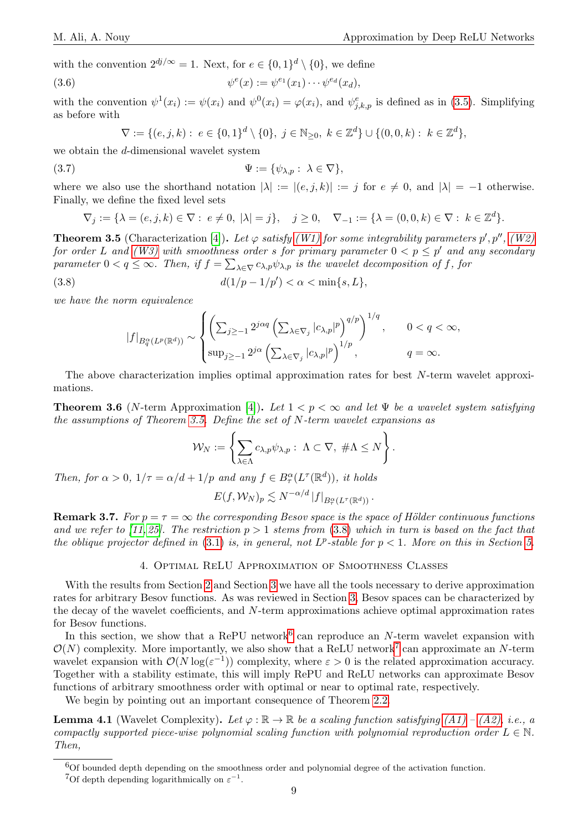with the convention  $2^{dj/\infty} = 1$ . Next, for  $e \in \{0,1\}^d \setminus \{0\}$ , we define

<span id="page-8-6"></span>(3.6) 
$$
\psi^e(x) := \psi^{e_1}(x_1) \cdots \psi^{e_d}(x_d),
$$

with the convention  $\psi^1(x_i) := \psi(x_i)$  and  $\psi^0(x_i) = \varphi(x_i)$ , and  $\psi^e_{j,k,p}$  is defined as in [\(3.5\)](#page-7-5). Simplifying as before with

$$
\nabla := \{ (e, j, k) : e \in \{0, 1\}^d \setminus \{0\}, \ j \in \mathbb{N}_{\geq 0}, \ k \in \mathbb{Z}^d \} \cup \{ (0, 0, k) : k \in \mathbb{Z}^d \},
$$

we obtain the d-dimensional wavelet system

<span id="page-8-7"></span>
$$
\Psi := \{ \psi_{\lambda, p} : \lambda \in \nabla \},
$$

where we also use the shorthand notation  $|\lambda| := |(e, j, k)| := j$  for  $e \neq 0$ , and  $|\lambda| = -1$  otherwise. Finally, we define the fixed level sets

$$
\nabla_j := \{ \lambda = (e, j, k) \in \nabla : e \neq 0, \ |\lambda| = j \}, \quad j \ge 0, \quad \nabla_{-1} := \{ \lambda = (0, 0, k) \in \nabla : k \in \mathbb{Z}^d \}.
$$

<span id="page-8-1"></span>**Theorem 3.5** (Characterization [\[4\]](#page-12-4)). Let  $\varphi$  satisfy [\(W1\)](#page-7-1) for some integrability parameters  $p', p'', (W2)$  $p', p'', (W2)$ for order L and [\(W3\)](#page-7-2) with smoothness order s for primary parameter  $0 < p \leq p'$  and any secondary parameter  $0 < q \leq \infty$ . Then, if  $f = \sum_{\lambda \in \nabla} c_{\lambda, p} \psi_{\lambda, p}$  is the wavelet decomposition of f, for

<span id="page-8-2"></span>(3.8) 
$$
d(1/p - 1/p') < \alpha < \min\{s, L\},
$$

we have the norm equivalence

$$
|f|_{B_q^{\alpha}(L^p(\mathbb{R}^d))} \sim \begin{cases} \left(\sum_{j\geq -1} 2^{j\alpha q} \left(\sum_{\lambda \in \nabla_j} |c_{\lambda,p}|^p \right)^{q/p} \right)^{1/q}, & 0 < q < \infty, \\ \sup_{j\geq -1} 2^{j\alpha} \left(\sum_{\lambda \in \nabla_j} |c_{\lambda,p}|^p \right)^{1/p}, & q = \infty. \end{cases}
$$

The above characterization implies optimal approximation rates for best N-term wavelet approximations.

<span id="page-8-8"></span>**Theorem 3.6** (N-term Approximation [\[4\]](#page-12-4)). Let  $1 < p < \infty$  and let  $\Psi$  be a wavelet system satisfying the assumptions of Theorem [3.5.](#page-8-1) Define the set of N-term wavelet expansions as

$$
\mathcal{W}_N := \left\{ \sum_{\lambda \in \Lambda} c_{\lambda, p} \psi_{\lambda, p} : \ \Lambda \subset \nabla, \ \#\Lambda \leq N \right\}.
$$

Then, for  $\alpha > 0$ ,  $1/\tau = \alpha/d + 1/p$  and any  $f \in B^{\alpha}_{\tau}(L^{\tau}(\mathbb{R}^d))$ , it holds

$$
E(f, \mathcal{W}_N)_p \lesssim N^{-\alpha/d} \, |f|_{B_\tau^\alpha(L^\tau(\mathbb{R}^d))} \, .
$$

**Remark 3.7.** For  $p = \tau = \infty$  the corresponding Besov space is the space of Hölder continuous functions and we refer to [\[11,](#page-13-14) [25\]](#page-13-2). The restriction  $p > 1$  stems from [\(3.8\)](#page-8-2) which in turn is based on the fact that the oblique projector defined in [\(3.1\)](#page-7-7) is, in general, not  $L^p$ -stable for  $p < 1$ . More on this in Section [5.](#page-12-2)

#### 4. Optimal ReLU Approximation of Smoothness Classes

<span id="page-8-0"></span>With the results from Section [2](#page-3-1) and Section [3](#page-5-0) we have all the tools necessary to derive approximation rates for arbitrary Besov functions. As was reviewed in Section [3,](#page-5-0) Besov spaces can be characterized by the decay of the wavelet coefficients, and N-term approximations achieve optimal approximation rates for Besov functions.

In this section, we show that a RePU network<sup>[6](#page-8-3)</sup> can reproduce an  $N$ -term wavelet expansion with  $\mathcal{O}(N)$  complexity. More importantly, we also show that a ReLU network<sup>[7](#page-8-4)</sup> can approximate an N-term wavelet expansion with  $\mathcal{O}(N \log(\varepsilon^{-1}))$  complexity, where  $\varepsilon > 0$  is the related approximation accuracy. Together with a stability estimate, this will imply RePU and ReLU networks can approximate Besov functions of arbitrary smoothness order with optimal or near to optimal rate, respectively.

We begin by pointing out an important consequence of Theorem [2.2.](#page-4-1)

<span id="page-8-5"></span>**Lemma 4.1** (Wavelet Complexity). Let  $\varphi : \mathbb{R} \to \mathbb{R}$  be a scaling function satisfying  $(A1) - (A2)$ , i.e., a compactly supported piece-wise polynomial scaling function with polynomial reproduction order  $L \in \mathbb{N}$ . Then,

<span id="page-8-3"></span> ${}^{6}$ Of bounded depth depending on the smoothness order and polynomial degree of the activation function.

<span id="page-8-4"></span><sup>&</sup>lt;sup>7</sup>Of depth depending logarithmically on  $\varepsilon^{-1}$ .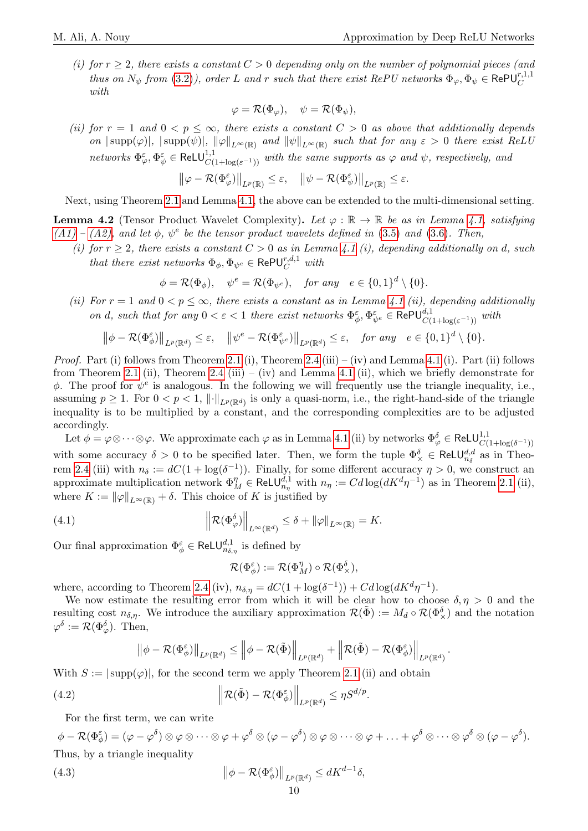.

(i) for  $r \geq 2$ , there exists a constant  $C > 0$  depending only on the number of polynomial pieces (and thus on  $N_{\psi}$  from [\(3.2\)](#page-7-8)), order L and r such that there exist RePU networks  $\Phi_{\varphi}, \Phi_{\psi} \in \text{RePU}_{C}^{r,1,1}$ with

$$
\varphi = \mathcal{R}(\Phi_{\varphi}), \quad \psi = \mathcal{R}(\Phi_{\psi}),
$$

(ii) for  $r = 1$  and  $0 < p \leq \infty$ , there exists a constant  $C > 0$  as above that additionally depends on  $|\text{supp}(\varphi)|$ ,  $|\text{supp}(\psi)|$ ,  $\|\varphi\|_{L^{\infty}(\mathbb{R})}$  and  $\|\psi\|_{L^{\infty}(\mathbb{R})}$  such that for any  $\varepsilon > 0$  there exist ReLU networks  $\Phi_{\varphi}^{\varepsilon}, \Phi_{\psi}^{\varepsilon} \in \text{ReLU}^{1,1}_{C(1+\log(\varepsilon^{-1}))}$  with the same supports as  $\varphi$  and  $\psi$ , respectively, and

$$
\big\|\varphi-\mathcal{R}(\Phi_\varphi^\varepsilon)\big\|_{L^p(\mathbb{R})}\leq\varepsilon,\quad \big\|\psi-\mathcal{R}(\Phi_\psi^\varepsilon)\big\|_{L^p(\mathbb{R})}\leq\varepsilon.
$$

Next, using Theorem [2.1](#page-3-2) and Lemma [4.1,](#page-8-5) the above can be extended to the multi-dimensional setting.

<span id="page-9-3"></span>**Lemma 4.2** (Tensor Product Wavelet Complexity). Let  $\varphi : \mathbb{R} \to \mathbb{R}$  be as in Lemma [4.1,](#page-8-5) satisfying  $(A1) - (A2)$  $(A1) - (A2)$ , and let  $\phi$ ,  $\psi^e$  be the tensor product wavelets defined in [\(3.5\)](#page-7-5) and [\(3.6\)](#page-8-6). Then,

(i) for  $r \geq 2$ , there exists a constant  $C > 0$  as in Lemma [4.1](#page-8-5) (i), depending additionally on d, such that there exist networks  $\Phi_{\phi}$ ,  $\Phi_{\psi^e} \in \text{RePU}_{C}^{r,d,1}$  with

$$
\phi = \mathcal{R}(\Phi_{\phi}), \quad \psi^e = \mathcal{R}(\Phi_{\psi^e}), \quad \text{for any} \quad e \in \{0,1\}^d \setminus \{0\}.
$$

(ii) For  $r = 1$  and  $0 < p \leq \infty$ , there exists a constant as in Lemma [4.1](#page-8-5) (ii), depending additionally on d, such that for any  $0 < \varepsilon < 1$  there exist networks  $\Phi_{\phi}^{\varepsilon}, \Phi_{\psi^e}^{\varepsilon} \in \text{RePU}_{C(1+\log(\varepsilon^{-1}))}^{d,1}$  with

$$
\left\|\phi - \mathcal{R}(\Phi_{\phi}^{\varepsilon})\right\|_{L^{p}(\mathbb{R}^{d})} \leq \varepsilon, \quad \left\|\psi^{\varepsilon} - \mathcal{R}(\Phi_{\psi^{\varepsilon}}^{\varepsilon})\right\|_{L^{p}(\mathbb{R}^{d})} \leq \varepsilon, \quad \text{for any} \quad e \in \{0,1\}^{d} \setminus \{0\}.
$$

*Proof.* Part (i) follows from Theorem [2.1](#page-3-2) (i), Theorem [2.4](#page-4-2) (iii) – (iv) and Lemma [4.1](#page-8-5) (i). Part (ii) follows from Theorem [2.1](#page-3-2) (ii), Theorem [2.4](#page-4-2) (iii) – (iv) and Lemma [4.1](#page-8-5) (ii), which we briefly demonstrate for  $\phi$ . The proof for  $\psi^e$  is analogous. In the following we will frequently use the triangle inequality, i.e., assuming  $p \geq 1$ . For  $0 < p < 1$ ,  $\|\cdot\|_{L^p(\mathbb{R}^d)}$  is only a quasi-norm, i.e., the right-hand-side of the triangle inequality is to be multiplied by a constant, and the corresponding complexities are to be adjusted accordingly.

Let  $\phi = \varphi \otimes \cdots \otimes \varphi$ . We approximate each  $\varphi$  as in Lemma [4.1](#page-8-5) (ii) by networks  $\Phi_{\varphi}^{\delta} \in \text{ReLU}^{1,1}_{C(1+\log(\delta^{-1}))}$ with some accuracy  $\delta > 0$  to be specified later. Then, we form the tuple  $\Phi_{\times}^{\delta} \in \text{ReLU}_{n_{\delta}}^{d,d}$  as in Theo-rem [2.4](#page-4-2) (iii) with  $n_{\delta} := dC(1 + \log(\delta^{-1}))$ . Finally, for some different accuracy  $\eta > 0$ , we construct an approximate multiplication network  $\Phi_M^{\eta'} \in \text{ReLU}_{n_\eta}^{\dot{d},1}$  with  $n_\eta := Cd \log(dK^d \eta^{-1})$  as in Theorem [2.1](#page-3-2) (ii), where  $K := ||\varphi||_{L^{\infty}(\mathbb{R})} + \delta$ . This choice of K is justified by

<span id="page-9-0"></span>(4.1) 
$$
\left\| \mathcal{R}(\Phi_{\varphi}^{\delta}) \right\|_{L^{\infty}(\mathbb{R}^d)} \leq \delta + \|\varphi\|_{L^{\infty}(\mathbb{R})} = K.
$$

Our final approximation  $\Phi_{\phi}^{\varepsilon} \in \text{ReLU}^{d,1}_{n_{\delta,\eta}}$  is defined by

$$
\mathcal{R}(\Phi_{\phi}^{\varepsilon}) := \mathcal{R}(\Phi_M^{\eta}) \circ \mathcal{R}(\Phi_{\times}^{\delta}),
$$

where, according to Theorem [2.4](#page-4-2) (iv),  $n_{\delta,\eta} = dC(1 + \log(\delta^{-1})) + Cd\log(dK^d\eta^{-1}).$ 

We now estimate the resulting error from which it will be clear how to choose  $\delta, \eta > 0$  and the resulting cost  $n_{\delta,\eta}$ . We introduce the auxiliary approximation  $\mathcal{R}(\tilde{\Phi}) := M_d \circ \mathcal{R}(\Phi_{\times}^{\delta})$  and the notation  $\varphi^{\delta} := \mathcal{R}(\Phi_{\varphi}^{\delta})$ . Then,

$$
\left\| \phi - \mathcal{R}(\Phi_{\phi}^{\varepsilon}) \right\|_{L^p(\mathbb{R}^d)} \le \left\| \phi - \mathcal{R}(\tilde{\Phi}) \right\|_{L^p(\mathbb{R}^d)} + \left\| \mathcal{R}(\tilde{\Phi}) - \mathcal{R}(\Phi_{\phi}^{\varepsilon}) \right\|_{L^p(\mathbb{R}^d)}
$$

With  $S := |\text{supp}(\varphi)|$ , for the second term we apply Theorem [2.1](#page-3-2) (ii) and obtain

<span id="page-9-1"></span>(4.2) 
$$
\left\| \mathcal{R}(\tilde{\Phi}) - \mathcal{R}(\Phi_{\phi}^{\varepsilon}) \right\|_{L^p(\mathbb{R}^d)} \leq \eta S^{d/p}.
$$

For the first term, we can write

 $\phi - \mathcal{R}(\Phi_\phi^\varepsilon) = (\varphi - \varphi^\delta) \otimes \varphi \otimes \cdots \otimes \varphi + \varphi^\delta \otimes (\varphi - \varphi^\delta) \otimes \varphi \otimes \cdots \otimes \varphi + \ldots + \varphi^\delta \otimes \cdots \otimes \varphi^\delta \otimes (\varphi - \varphi^\delta).$ Thus, by a triangle inequality

<span id="page-9-2"></span>(4.3) 
$$
\left\|\phi - \mathcal{R}(\Phi_{\phi}^{\varepsilon})\right\|_{L^{p}(\mathbb{R}^{d})} \leq dK^{d-1}\delta,
$$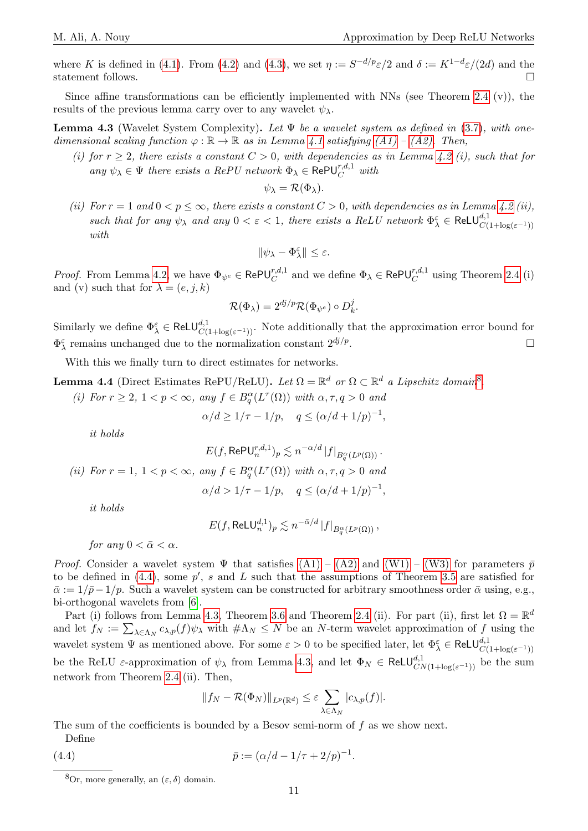where K is defined in [\(4.1\)](#page-9-0). From [\(4.2\)](#page-9-1) and [\(4.3\)](#page-9-2), we set  $\eta := S^{-d/p}\varepsilon/2$  and  $\delta := K^{1-d}\varepsilon/(2d)$  and the statement follows.

Since affine transformations can be efficiently implemented with NNs (see Theorem [2.4](#page-4-2) (v)), the results of the previous lemma carry over to any wavelet  $\psi_{\lambda}$ .

<span id="page-10-2"></span>**Lemma 4.3** (Wavelet System Complexity). Let  $\Psi$  be a wavelet system as defined in [\(3.7\)](#page-8-7), with onedimensional scaling function  $\varphi : \mathbb{R} \to \mathbb{R}$  as in Lemma [4.1](#page-8-5) satisfying  $(A1) - (A2)$ . Then,

(i) for  $r \geq 2$ , there exists a constant  $C > 0$ , with dependencies as in Lemma [4.2](#page-9-3) (i), such that for any  $\psi_{\lambda} \in \Psi$  there exists a RePU network  $\Phi_{\lambda} \in \text{RePU}_{C}^{r,d,1}$  with

$$
\psi_{\lambda} = \mathcal{R}(\Phi_{\lambda}).
$$

(ii) For  $r = 1$  and  $0 < p \leq \infty$ , there exists a constant  $C > 0$ , with dependencies as in Lemma [4.2](#page-9-3) (ii), such that for any  $\psi_{\lambda}$  and any  $0 < \varepsilon < 1$ , there exists a ReLU network  $\Phi_{\lambda}^{\varepsilon} \in \text{ReLU}_{C(1 + \log(\varepsilon^{-1}))}^{d,1}$ with

$$
\|\psi_\lambda-\Phi_\lambda^\varepsilon\|\leq\varepsilon.
$$

*Proof.* From Lemma [4.2,](#page-9-3) we have  $\Phi_{\psi^e} \in \text{RePU}_{C}^{r,d,1}$  and we define  $\Phi_{\lambda} \in \text{RePU}_{C}^{r,d,1}$  using Theorem [2.4](#page-4-2) (i) and (v) such that for  $\lambda = (e, j, k)$ 

$$
\mathcal{R}(\Phi_\lambda)=2^{dj/p}\mathcal{R}(\Phi_{\psi^e})\circ D_k^j.
$$

Similarly we define  $\Phi_{\lambda}^{\varepsilon} \in \text{ReLU}^{d,1}_{C(1+\log(\varepsilon^{-1}))}$ . Note additionally that the approximation error bound for  $\Phi_{\lambda}^{\varepsilon}$  remains unchanged due to the normalization constant  $2^{dj/p}$ .

With this we finally turn to direct estimates for networks.

<span id="page-10-3"></span>**Lemma 4.4** (Direct Estimates RePU/ReLU). Let  $\Omega = \mathbb{R}^d$  or  $\Omega \subset \mathbb{R}^d$  a Lipschitz domain<sup>[8](#page-10-0)</sup>.

(i) For  $r \geq 2$ ,  $1 < p < \infty$ , any  $f \in B_q^{\alpha}(L^{\tau}(\Omega))$  with  $\alpha, \tau, q > 0$  and

$$
\alpha/d \ge 1/\tau - 1/p, \quad q \le (\alpha/d + 1/p)^{-1},
$$

it holds

$$
E(f, \text{RePU}_n^{r,d,1})_p \lesssim n^{-\alpha/d} |f|_{B_q^{\alpha}(L^p(\Omega))}.
$$
  
(ii) For  $r = 1$ ,  $1 < p < \infty$ , any  $f \in B_q^{\alpha}(L^{\tau}(\Omega))$  with  $\alpha, \tau, q > 0$  and  
 $\alpha/d > 1/\tau - 1/p$ ,  $q \leq (\alpha/d + 1/p)^{-1}$ ,

$$
it\ holds
$$

$$
E(f, \text{ReLU}_n^{d,1})_p \lesssim n^{-\bar{\alpha}/d} |f|_{B_q^{\alpha}(L^p(\Omega))},
$$

for any  $0 < \bar{\alpha} < \alpha$ .

*Proof.* Consider a wavelet system  $\Psi$  that satisfies  $(A1) - (A2)$  $(A1) - (A2)$  and  $(W1) - (W3)$  $(W1) - (W3)$  for parameters  $\bar{p}$ to be defined in  $(4.4)$ , some  $p'$ , s and L such that the assumptions of Theorem [3.5](#page-8-1) are satisfied for  $\bar{\alpha} := 1/\bar{p} - 1/p$ . Such a wavelet system can be constructed for arbitrary smoothness order  $\bar{\alpha}$  using, e.g., bi-orthogonal wavelets from [\[6\]](#page-13-13).

Part (i) follows from Lemma [4.3,](#page-10-2) Theorem [3.6](#page-8-8) and Theorem [2.4](#page-4-2) (ii). For part (ii), first let  $\Omega = \mathbb{R}^d$ and let  $f_N := \sum_{\lambda \in \Lambda_N} c_{\lambda,p}(f) \psi_\lambda$  with  $\#\Lambda_N \leq N$  be an N-term wavelet approximation of f using the wavelet system  $\Psi$  as mentioned above. For some  $\varepsilon > 0$  to be specified later, let  $\Phi_{\lambda}^{\varepsilon} \in \text{ReLU}^{d,1}_{C(1+\log(\varepsilon^{-1}))}$ be the ReLU  $\varepsilon$ -approximation of  $\psi_{\lambda}$  from Lemma [4.3,](#page-10-2) and let  $\Phi_N \in \text{ReLU}_{CN(1+\log(\varepsilon^{-1}))}^{d,1}$  be the sum network from Theorem [2.4](#page-4-2) (ii). Then,

$$
||f_N - \mathcal{R}(\Phi_N)||_{L^p(\mathbb{R}^d)} \leq \varepsilon \sum_{\lambda \in \Lambda_N} |c_{\lambda,p}(f)|.
$$

The sum of the coefficients is bounded by a Besov semi-norm of  $f$  as we show next. Define

<span id="page-10-1"></span>(4.4)  $\bar{p} := (\alpha/d - 1/\tau + 2/p)^{-1}.$ 

<span id="page-10-0"></span><sup>&</sup>lt;sup>8</sup>Or, more generally, an  $(\varepsilon, \delta)$  domain.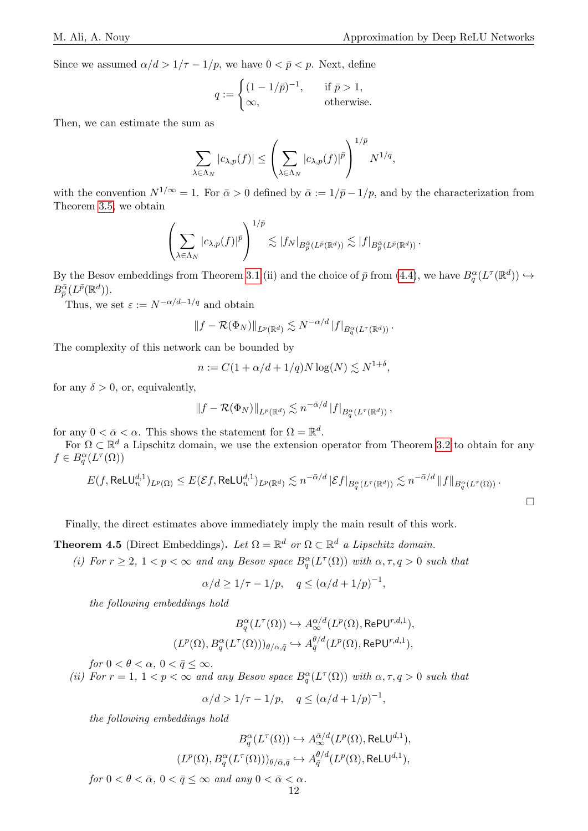$\Box$ 

Since we assumed  $\alpha/d > 1/\tau - 1/p$ , we have  $0 < \bar{p} < p$ . Next, define

$$
q := \begin{cases} (1 - 1/\bar{p})^{-1}, & \text{if } \bar{p} > 1, \\ \infty, & \text{otherwise.} \end{cases}
$$

Then, we can estimate the sum as

$$
\sum_{\lambda \in \Lambda_N} |c_{\lambda,p}(f)| \le \left(\sum_{\lambda \in \Lambda_N} |c_{\lambda,p}(f)|^{\bar{p}}\right)^{1/\bar{p}} N^{1/q},
$$

with the convention  $N^{1/\infty} = 1$ . For  $\bar{\alpha} > 0$  defined by  $\bar{\alpha} := 1/\bar{p} - 1/p$ , and by the characterization from Theorem [3.5,](#page-8-1) we obtain

$$
\left(\sum_{\lambda\in\Lambda_N} |c_{\lambda,p}(f)|^{\bar{p}}\right)^{1/\bar{p}} \lesssim |f_N|_{B_{\bar{p}}^{\bar{\alpha}}(L^{\bar{p}}(\mathbb{R}^d))} \lesssim |f|_{B_{\bar{p}}^{\bar{\alpha}}(L^{\bar{p}}(\mathbb{R}^d))}.
$$

By the Besov embeddings from Theorem [3.1](#page-5-2) (ii) and the choice of  $\bar{p}$  from [\(4.4\)](#page-10-1), we have  $B_q^{\alpha}(L^{\tau}(\mathbb{R}^d)) \hookrightarrow$  $B^{\bar{\alpha}}_{\bar{p}}(L^{\bar{p}}(\mathbb{R}^d)).$ 

Thus, we set  $\varepsilon := N^{-\alpha/d-1/q}$  and obtain

$$
||f - \mathcal{R}(\Phi_N)||_{L^p(\mathbb{R}^d)} \lesssim N^{-\alpha/d} |f|_{B_q^{\alpha}(L^{\tau}(\mathbb{R}^d))}.
$$

The complexity of this network can be bounded by

$$
n := C(1 + \alpha/d + 1/q)N \log(N) \lesssim N^{1+\delta},
$$

for any  $\delta > 0$ , or, equivalently,

$$
\left\|f-\mathcal{R}(\Phi_N)\right\|_{L^p(\mathbb{R}^d)}\lesssim n^{-\bar\alpha/d}\left|f\right|_{B^{\alpha}_q(L^\tau(\mathbb{R}^d))},
$$

for any  $0 < \bar{\alpha} < \alpha$ . This shows the statement for  $\Omega = \mathbb{R}^d$ .

For  $\Omega \subset \mathbb{R}^d$  a Lipschitz domain, we use the extension operator from Theorem [3.2](#page-6-2) to obtain for any  $f \in B^{\alpha}_q(L^{\tau}(\Omega))$ 

$$
E(f,\mathsf{ReLU}_{n}^{d,1})_{L^{p}(\Omega)} \leq E(\mathcal{E}f,\mathsf{ReLU}_{n}^{d,1})_{L^{p}(\mathbb{R}^{d})} \lesssim n^{-\bar{\alpha}/d} \left| \mathcal{E}f \right|_{B^{\alpha}_{q}(L^{\tau}(\mathbb{R}^{d}))} \lesssim n^{-\bar{\alpha}/d} \left\| f \right\|_{B^{\alpha}_{q}(L^{\tau}(\Omega))}.
$$

Finally, the direct estimates above immediately imply the main result of this work.

<span id="page-11-0"></span>**Theorem 4.5** (Direct Embeddings). Let  $\Omega = \mathbb{R}^d$  or  $\Omega \subset \mathbb{R}^d$  a Lipschitz domain.

(i) For  $r \geq 2$ ,  $1 < p < \infty$  and any Besov space  $B_q^{\alpha}(L^{\tau}(\Omega))$  with  $\alpha, \tau, q > 0$  such that

$$
\alpha/d \ge 1/\tau - 1/p, \quad q \le (\alpha/d + 1/p)^{-1},
$$

the following embeddings hold

$$
B^{\alpha}_q(L^{\tau}(\Omega))\hookrightarrow A^{\alpha/d}_{\infty}(L^p(\Omega), \mathrm{RePU}^{r,d,1}),
$$
  

$$
(L^p(\Omega), B^{\alpha}_q(L^{\tau}(\Omega)))_{\theta/\alpha, \bar{q}}\hookrightarrow A^{\theta/d}_{\bar{q}}(L^p(\Omega), \mathrm{RePU}^{r,d,1}),
$$

for  $0 < \theta < \alpha$ ,  $0 < \bar{q} \leq \infty$ .

(ii) For  $r = 1, 1 < p < \infty$  and any Besov space  $B_q^{\alpha}(L^{\tau}(\Omega))$  with  $\alpha, \tau, q > 0$  such that

$$
\alpha/d > 1/\tau - 1/p
$$
,  $q \leq (\alpha/d + 1/p)^{-1}$ ,

the following embeddings hold

$$
B^{\alpha}_q(L^{\tau}(\Omega)) \hookrightarrow A^{\bar{\alpha}/d}_\infty(L^p(\Omega), \mathrm{ReLU}^{d,1}),
$$
  

$$
(L^p(\Omega), B^{\alpha}_q(L^{\tau}(\Omega)))_{\theta/\bar{\alpha},\bar{q}} \hookrightarrow A^{\theta/d}_{\bar{q}}(L^p(\Omega), \mathrm{ReLU}^{d,1}),
$$

for  $0 < \theta < \bar{\alpha}$ ,  $0 < \bar{q} \le \infty$  and any  $0 < \bar{\alpha} < \alpha$ .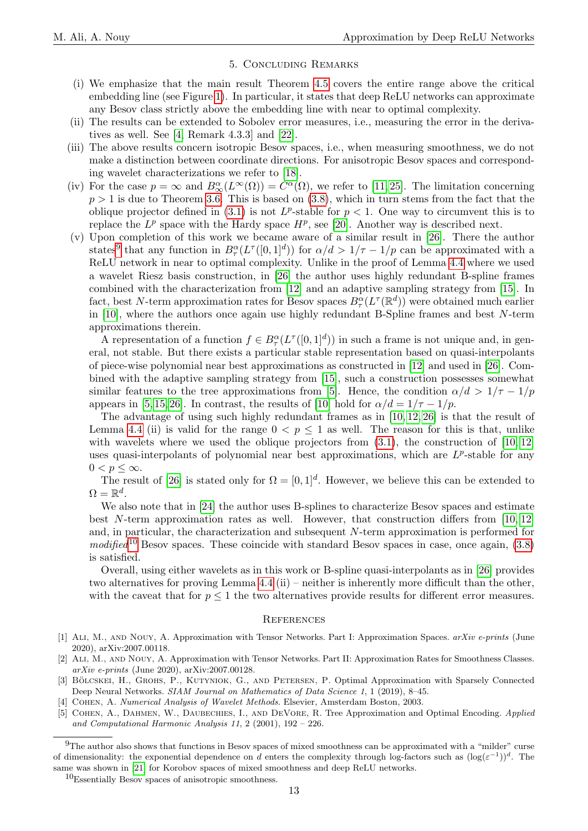#### 5. Concluding Remarks

- <span id="page-12-2"></span>(i) We emphasize that the main result Theorem [4.5](#page-11-0) covers the entire range above the critical embedding line (see Figure [1\)](#page-1-0). In particular, it states that deep ReLU networks can approximate any Besov class strictly above the embedding line with near to optimal complexity.
- (ii) The results can be extended to Sobolev error measures, i.e., measuring the error in the derivatives as well. See [\[4,](#page-12-4) Remark 4.3.3] and [\[22\]](#page-13-4).
- (iii) The above results concern isotropic Besov spaces, i.e., when measuring smoothness, we do not make a distinction between coordinate directions. For anisotropic Besov spaces and corresponding wavelet characterizations we refer to [\[18\]](#page-13-15).
- (iv) For the case  $p = \infty$  and  $B^{\alpha}_{\infty}(L^{\infty}(\Omega)) = C^{\alpha}(\Omega)$ , we refer to [\[11,](#page-13-14) [25\]](#page-13-2). The limitation concerning  $p > 1$  is due to Theorem [3.6.](#page-8-8) This is based on [\(3.8\)](#page-8-2), which in turn stems from the fact that the oblique projector defined in [\(3.1\)](#page-7-7) is not  $L^p$ -stable for  $p < 1$ . One way to circumvent this is to replace the  $L^p$  space with the Hardy space  $H^p$ , see [\[20\]](#page-13-16). Another way is described next.
- (v) Upon completion of this work we became aware of a similar result in [\[26\]](#page-13-7). There the author states<sup>[9](#page-12-5)</sup> that any function in  $B^{\alpha}_{\tau}(L^{\tau}([0,1]^d))$  for  $\alpha/d > 1/\tau - 1/p$  can be approximated with a ReLU network in near to optimal complexity. Unlike in the proof of Lemma [4.4](#page-10-3) where we used a wavelet Riesz basis construction, in [\[26\]](#page-13-7) the author uses highly redundant B-spline frames combined with the characterization from [\[12\]](#page-13-17) and an adaptive sampling strategy from [\[15\]](#page-13-18). In fact, best N-term approximation rates for Besov spaces  $B^{\alpha}_{\tau}(L^{\tau}(\mathbb{R}^d))$  were obtained much earlier in [\[10\]](#page-13-19), where the authors once again use highly redundant B-Spline frames and best N-term approximations therein.

A representation of a function  $f \in B^{\alpha}_{\tau}(L^{\tau}([0,1]^d))$  in such a frame is not unique and, in general, not stable. But there exists a particular stable representation based on quasi-interpolants of piece-wise polynomial near best approximations as constructed in [\[12\]](#page-13-17) and used in [\[26\]](#page-13-7). Combined with the adaptive sampling strategy from [\[15\]](#page-13-18), such a construction possesses somewhat similar features to the tree approximations from [\[5\]](#page-12-6). Hence, the condition  $\alpha/d > 1/\tau - 1/p$ appears in [\[5,](#page-12-6) [15,](#page-13-18) [26\]](#page-13-7). In contrast, the results of [\[10\]](#page-13-19) hold for  $\alpha/d = 1/\tau - 1/p$ .

The advantage of using such highly redundant frames as in [\[10,](#page-13-19) [12,](#page-13-17) [26\]](#page-13-7) is that the result of Lemma [4.4](#page-10-3) (ii) is valid for the range  $0 < p \le 1$  as well. The reason for this is that, unlike with wavelets where we used the oblique projectors from  $(3.1)$ , the construction of  $[10, 12]$  $[10, 12]$ uses quasi-interpolants of polynomial near best approximations, which are  $L^p$ -stable for any  $0 < p \leq \infty$ .

The result of [\[26\]](#page-13-7) is stated only for  $\Omega = [0, 1]^d$ . However, we believe this can be extended to  $\Omega=\mathbb{R}^d.$ 

We also note that in [\[24\]](#page-13-20) the author uses B-splines to characterize Besov spaces and estimate best N-term approximation rates as well. However, that construction differs from [\[10,](#page-13-19) [12\]](#page-13-17) and, in particular, the characterization and subsequent N-term approximation is performed for modified<sup>[10](#page-12-7)</sup> Besov spaces. These coincide with standard Besov spaces in case, once again,  $(3.8)$ is satisfied.

Overall, using either wavelets as in this work or B-spline quasi-interpolants as in [\[26\]](#page-13-7) provides two alternatives for proving Lemma [4.4](#page-10-3) (ii) – neither is inherently more difficult than the other, with the caveat that for  $p \leq 1$  the two alternatives provide results for different error measures.

#### **REFERENCES**

- <span id="page-12-0"></span>[1] Ali, M., and Nouy, A. Approximation with Tensor Networks. Part I: Approximation Spaces. arXiv e-prints (June 2020), arXiv:2007.00118.
- <span id="page-12-1"></span>[2] Ali, M., and Nouy, A. Approximation with Tensor Networks. Part II: Approximation Rates for Smoothness Classes. arXiv e-prints (June 2020), arXiv:2007.00128.
- <span id="page-12-3"></span>[3] BÖLCSKEI, H., GROHS, P., KUTYNIOK, G., AND PETERSEN, P. Optimal Approximation with Sparsely Connected Deep Neural Networks. SIAM Journal on Mathematics of Data Science 1, 1 (2019), 8–45.
- <span id="page-12-4"></span>[4] Cohen, A. Numerical Analysis of Wavelet Methods. Elsevier, Amsterdam Boston, 2003.
- <span id="page-12-6"></span>[5] Cohen, A., Dahmen, W., Daubechies, I., and DeVore, R. Tree Approximation and Optimal Encoding. Applied and Computational Harmonic Analysis 11, 2 (2001), 192 – 226.

<span id="page-12-5"></span><sup>&</sup>lt;sup>9</sup>The author also shows that functions in Besov spaces of mixed smoothness can be approximated with a "milder" curse of dimensionality: the exponential dependence on d enters the complexity through log-factors such as  $(\log(\varepsilon^{-1}))^d$ . The same was shown in [\[21\]](#page-13-21) for Korobov spaces of mixed smoothness and deep ReLU networks.

<span id="page-12-7"></span><sup>10</sup>Essentially Besov spaces of anisotropic smoothness.